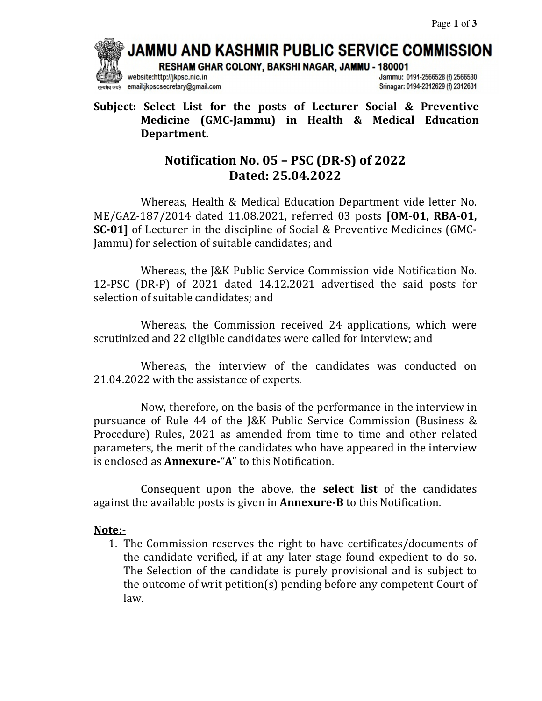# JAMMU AND KASHMIR PUBLIC SERVICE COMMISSION

RESHAM GHAR COLONY, BAKSHI NAGAR, JAMMU - 180001



website:http://jkpsc.nic.in email:jkpscsecretary@gmail.com Jammu: 0191-2566528 (f) 2566530 Srinagar: 0194-2312629 (f) 2312631

#### **Subject: Select List for the posts of Lecturer Social & Preventive Medicine (GMC-Jammu) in Health & Medical Education Department.**

## **Notification No. 05 – PSC (DR-S) of 2022 Dated: 25.04.2022**

Whereas, Health & Medical Education Department vide letter No. ME/GAZ-187/2014 dated 11.08.2021, referred 03 posts **[OM-01, RBA-01, SC-01]** of Lecturer in the discipline of Social & Preventive Medicines (GMC-Jammu) for selection of suitable candidates; and

 Whereas, the J&K Public Service Commission vide Notification No. 12-PSC (DR-P) of 2021 dated 14.12.2021 advertised the said posts for selection of suitable candidates; and

 Whereas, the Commission received 24 applications, which were scrutinized and 22 eligible candidates were called for interview; and

 Whereas, the interview of the candidates was conducted on 21.04.2022 with the assistance of experts.

 Now, therefore, on the basis of the performance in the interview in pursuance of Rule 44 of the J&K Public Service Commission (Business & Procedure) Rules, 2021 as amended from time to time and other related parameters, the merit of the candidates who have appeared in the interview is enclosed as **Annexure-**"**A**" to this Notification.

 Consequent upon the above, the **select list** of the candidates against the available posts is given in **Annexure-B** to this Notification.

#### **Note:-**

1. The Commission reserves the right to have certificates/documents of the candidate verified, if at any later stage found expedient to do so. The Selection of the candidate is purely provisional and is subject to the outcome of writ petition(s) pending before any competent Court of law.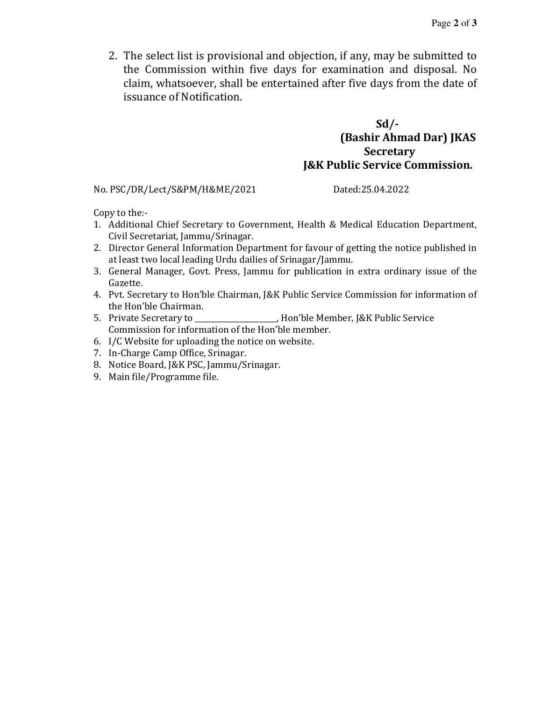2. The select list is provisional and objection, if any, may be submitted to the Commission within five days for examination and disposal. No claim, whatsoever, shall be entertained after five days from the date of issuance of Notification.

#### **Sd/- (Bashir Ahmad Dar) JKAS Secretary J&K Public Service Commission.**

No. PSC/DR/Lect/S&PM/H&ME/2021 Dated:25.04.2022

Copy to the:-

- 1. Additional Chief Secretary to Government, Health & Medical Education Department, Civil Secretariat, Jammu/Srinagar.
- 2. Director General Information Department for favour of getting the notice published in at least two local leading Urdu dailies of Srinagar/Jammu.
- 3. General Manager, Govt. Press, Jammu for publication in extra ordinary issue of the Gazette.
- 4. Pvt. Secretary to Hon'ble Chairman, J&K Public Service Commission for information of the Hon'ble Chairman.
- 5. Private Secretary to \_\_\_\_\_\_\_\_\_\_\_\_\_\_\_\_\_\_\_\_\_\_, Hon'ble Member, J&K Public Service Commission for information of the Hon'ble member.
- 6. I/C Website for uploading the notice on website.
- 7. In-Charge Camp Office, Srinagar.
- 8. Notice Board, J&K PSC, Jammu/Srinagar.
- 9. Main file/Programme file.